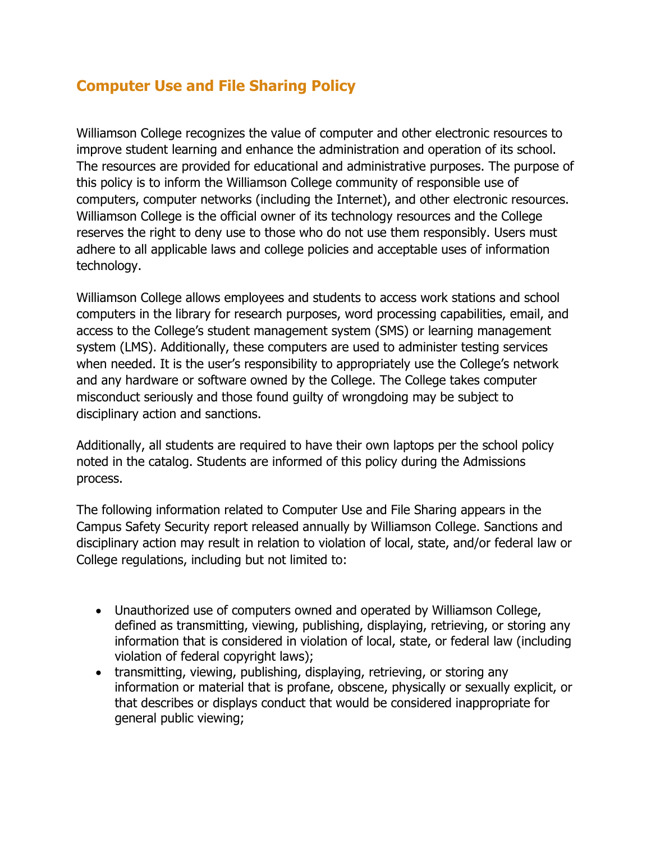# **Computer Use and File Sharing Policy**

Williamson College recognizes the value of computer and other electronic resources to improve student learning and enhance the administration and operation of its school. The resources are provided for educational and administrative purposes. The purpose of this policy is to inform the Williamson College community of responsible use of computers, computer networks (including the Internet), and other electronic resources. Williamson College is the official owner of its technology resources and the College reserves the right to deny use to those who do not use them responsibly. Users must adhere to all applicable laws and college policies and acceptable uses of information technology.

Williamson College allows employees and students to access work stations and school computers in the library for research purposes, word processing capabilities, email, and access to the College's student management system (SMS) or learning management system (LMS). Additionally, these computers are used to administer testing services when needed. It is the user's responsibility to appropriately use the College's network and any hardware or software owned by the College. The College takes computer misconduct seriously and those found guilty of wrongdoing may be subject to disciplinary action and sanctions.

Additionally, all students are required to have their own laptops per the school policy noted in the catalog. Students are informed of this policy during the Admissions process.

The following information related to Computer Use and File Sharing appears in the Campus Safety Security report released annually by Williamson College. Sanctions and disciplinary action may result in relation to violation of local, state, and/or federal law or College regulations, including but not limited to:

- Unauthorized use of computers owned and operated by Williamson College, defined as transmitting, viewing, publishing, displaying, retrieving, or storing any information that is considered in violation of local, state, or federal law (including violation of federal copyright laws);
- transmitting, viewing, publishing, displaying, retrieving, or storing any information or material that is profane, obscene, physically or sexually explicit, or that describes or displays conduct that would be considered inappropriate for general public viewing;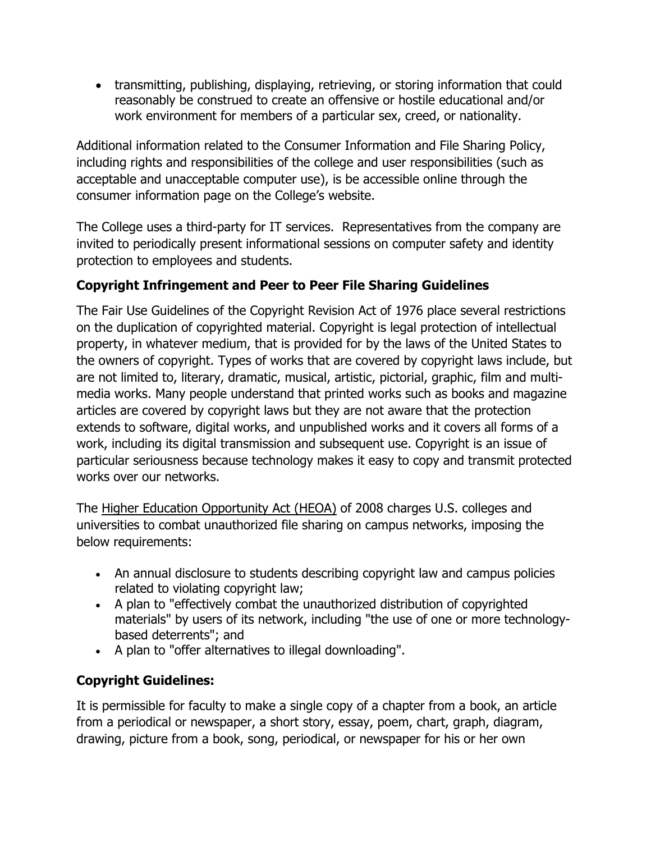• transmitting, publishing, displaying, retrieving, or storing information that could reasonably be construed to create an offensive or hostile educational and/or work environment for members of a particular sex, creed, or nationality.

Additional information related to the Consumer Information and File Sharing Policy, including rights and responsibilities of the college and user responsibilities (such as acceptable and unacceptable computer use), is be accessible online through the consumer information page on the College's website.

The College uses a third-party for IT services. Representatives from the company are invited to periodically present informational sessions on computer safety and identity protection to employees and students.

## **Copyright Infringement and Peer to Peer File Sharing Guidelines**

The Fair Use Guidelines of the Copyright Revision Act of 1976 place several restrictions on the duplication of copyrighted material. Copyright is legal protection of intellectual property, in whatever medium, that is provided for by the laws of the United States to the owners of copyright. Types of works that are covered by copyright laws include, but are not limited to, literary, dramatic, musical, artistic, pictorial, graphic, film and multimedia works. Many people understand that printed works such as books and magazine articles are covered by copyright laws but they are not aware that the protection extends to software, digital works, and unpublished works and it covers all forms of a work, including its digital transmission and subsequent use. Copyright is an issue of particular seriousness because technology makes it easy to copy and transmit protected works over our networks.

The Higher Education Opportunity Act (HEOA) of 2008 charges U.S. colleges and universities to combat unauthorized file sharing on campus networks, imposing the below requirements:

- An annual disclosure to students describing copyright law and campus policies related to violating copyright law;
- A plan to "effectively combat the unauthorized distribution of copyrighted materials" by users of its network, including "the use of one or more technologybased deterrents"; and
- A plan to "offer alternatives to illegal downloading".

## **Copyright Guidelines:**

It is permissible for faculty to make a single copy of a chapter from a book, an article from a periodical or newspaper, a short story, essay, poem, chart, graph, diagram, drawing, picture from a book, song, periodical, or newspaper for his or her own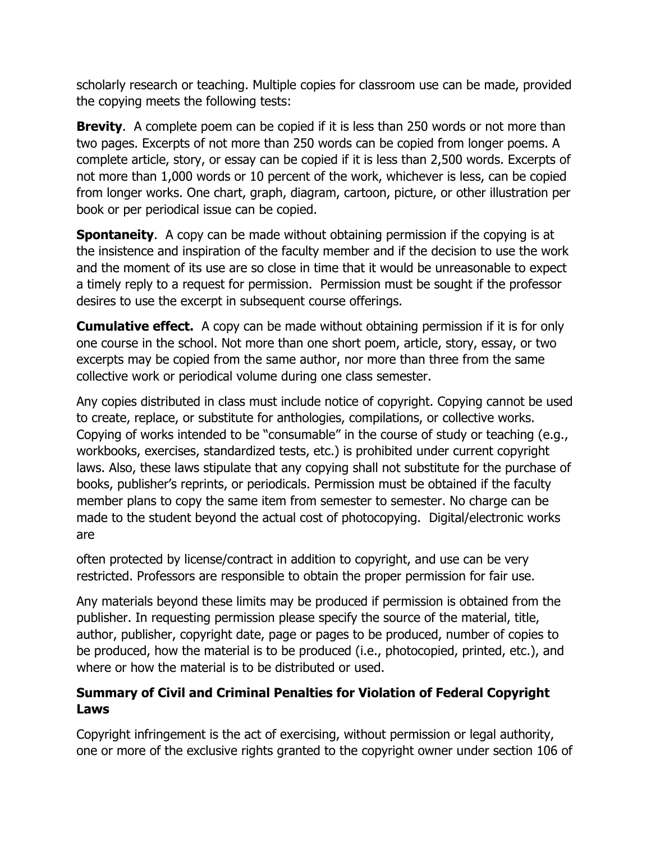scholarly research or teaching. Multiple copies for classroom use can be made, provided the copying meets the following tests:

**Brevity**. A complete poem can be copied if it is less than 250 words or not more than two pages. Excerpts of not more than 250 words can be copied from longer poems. A complete article, story, or essay can be copied if it is less than 2,500 words. Excerpts of not more than 1,000 words or 10 percent of the work, whichever is less, can be copied from longer works. One chart, graph, diagram, cartoon, picture, or other illustration per book or per periodical issue can be copied.

**Spontaneity.** A copy can be made without obtaining permission if the copying is at the insistence and inspiration of the faculty member and if the decision to use the work and the moment of its use are so close in time that it would be unreasonable to expect a timely reply to a request for permission. Permission must be sought if the professor desires to use the excerpt in subsequent course offerings.

**Cumulative effect.** A copy can be made without obtaining permission if it is for only one course in the school. Not more than one short poem, article, story, essay, or two excerpts may be copied from the same author, nor more than three from the same collective work or periodical volume during one class semester.

Any copies distributed in class must include notice of copyright. Copying cannot be used to create, replace, or substitute for anthologies, compilations, or collective works. Copying of works intended to be "consumable" in the course of study or teaching (e.g., workbooks, exercises, standardized tests, etc.) is prohibited under current copyright laws. Also, these laws stipulate that any copying shall not substitute for the purchase of books, publisher's reprints, or periodicals. Permission must be obtained if the faculty member plans to copy the same item from semester to semester. No charge can be made to the student beyond the actual cost of photocopying. Digital/electronic works are

often protected by license/contract in addition to copyright, and use can be very restricted. Professors are responsible to obtain the proper permission for fair use.

Any materials beyond these limits may be produced if permission is obtained from the publisher. In requesting permission please specify the source of the material, title, author, publisher, copyright date, page or pages to be produced, number of copies to be produced, how the material is to be produced (i.e., photocopied, printed, etc.), and where or how the material is to be distributed or used.

### **Summary of Civil and Criminal Penalties for Violation of Federal Copyright Laws**

Copyright infringement is the act of exercising, without permission or legal authority, one or more of the exclusive rights granted to the copyright owner under section 106 of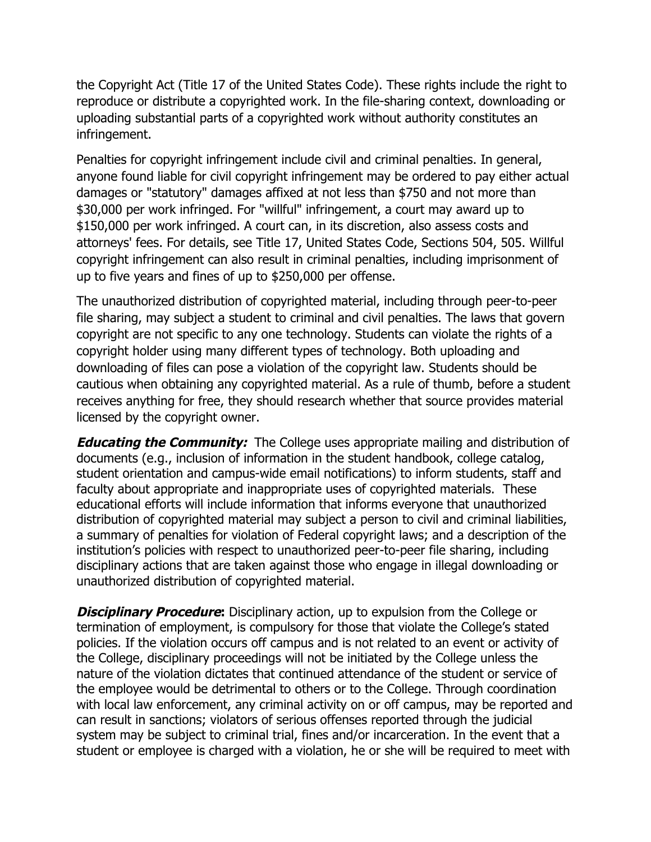the Copyright Act (Title 17 of the United States Code). These rights include the right to reproduce or distribute a copyrighted work. In the file-sharing context, downloading or uploading substantial parts of a copyrighted work without authority constitutes an infringement.

Penalties for copyright infringement include civil and criminal penalties. In general, anyone found liable for civil copyright infringement may be ordered to pay either actual damages or "statutory" damages affixed at not less than \$750 and not more than \$30,000 per work infringed. For "willful" infringement, a court may award up to \$150,000 per work infringed. A court can, in its discretion, also assess costs and attorneys' fees. For details, see Title 17, United States Code, Sections 504, 505. Willful copyright infringement can also result in criminal penalties, including imprisonment of up to five years and fines of up to \$250,000 per offense.

The unauthorized distribution of copyrighted material, including through peer-to-peer file sharing, may subject a student to criminal and civil penalties. The laws that govern copyright are not specific to any one technology. Students can violate the rights of a copyright holder using many different types of technology. Both uploading and downloading of files can pose a violation of the copyright law. Students should be cautious when obtaining any copyrighted material. As a rule of thumb, before a student receives anything for free, they should research whether that source provides material licensed by the copyright owner.

**Educating the Community:** The College uses appropriate mailing and distribution of documents (e.g., inclusion of information in the student handbook, college catalog, student orientation and campus-wide email notifications) to inform students, staff and faculty about appropriate and inappropriate uses of copyrighted materials. These educational efforts will include information that informs everyone that unauthorized distribution of copyrighted material may subject a person to civil and criminal liabilities, a summary of penalties for violation of Federal copyright laws; and a description of the institution's policies with respect to unauthorized peer-to-peer file sharing, including disciplinary actions that are taken against those who engage in illegal downloading or unauthorized distribution of copyrighted material.

**Disciplinary Procedure:** Disciplinary action, up to expulsion from the College or termination of employment, is compulsory for those that violate the College's stated policies. If the violation occurs off campus and is not related to an event or activity of the College, disciplinary proceedings will not be initiated by the College unless the nature of the violation dictates that continued attendance of the student or service of the employee would be detrimental to others or to the College. Through coordination with local law enforcement, any criminal activity on or off campus, may be reported and can result in sanctions; violators of serious offenses reported through the judicial system may be subject to criminal trial, fines and/or incarceration. In the event that a student or employee is charged with a violation, he or she will be required to meet with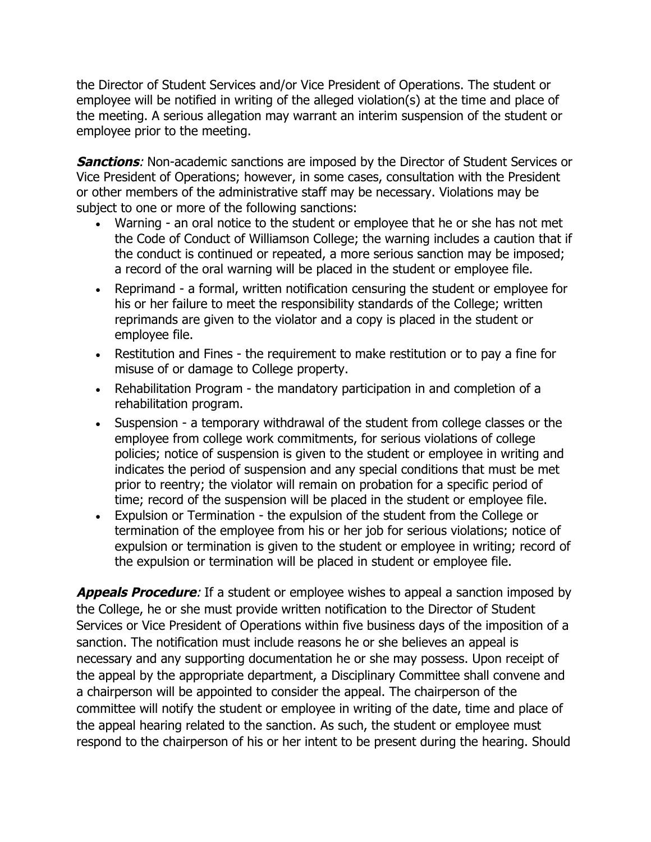the Director of Student Services and/or Vice President of Operations. The student or employee will be notified in writing of the alleged violation(s) at the time and place of the meeting. A serious allegation may warrant an interim suspension of the student or employee prior to the meeting.

**Sanctions:** Non-academic sanctions are imposed by the Director of Student Services or Vice President of Operations; however, in some cases, consultation with the President or other members of the administrative staff may be necessary. Violations may be subject to one or more of the following sanctions:

- Warning an oral notice to the student or employee that he or she has not met the Code of Conduct of Williamson College; the warning includes a caution that if the conduct is continued or repeated, a more serious sanction may be imposed; a record of the oral warning will be placed in the student or employee file.
- Reprimand a formal, written notification censuring the student or employee for his or her failure to meet the responsibility standards of the College; written reprimands are given to the violator and a copy is placed in the student or employee file.
- Restitution and Fines the requirement to make restitution or to pay a fine for misuse of or damage to College property.
- Rehabilitation Program the mandatory participation in and completion of a rehabilitation program.
- Suspension a temporary withdrawal of the student from college classes or the employee from college work commitments, for serious violations of college policies; notice of suspension is given to the student or employee in writing and indicates the period of suspension and any special conditions that must be met prior to reentry; the violator will remain on probation for a specific period of time; record of the suspension will be placed in the student or employee file.
- Expulsion or Termination the expulsion of the student from the College or termination of the employee from his or her job for serious violations; notice of expulsion or termination is given to the student or employee in writing; record of the expulsion or termination will be placed in student or employee file.

**Appeals Procedure**: If a student or employee wishes to appeal a sanction imposed by the College, he or she must provide written notification to the Director of Student Services or Vice President of Operations within five business days of the imposition of a sanction. The notification must include reasons he or she believes an appeal is necessary and any supporting documentation he or she may possess. Upon receipt of the appeal by the appropriate department, a Disciplinary Committee shall convene and a chairperson will be appointed to consider the appeal. The chairperson of the committee will notify the student or employee in writing of the date, time and place of the appeal hearing related to the sanction. As such, the student or employee must respond to the chairperson of his or her intent to be present during the hearing. Should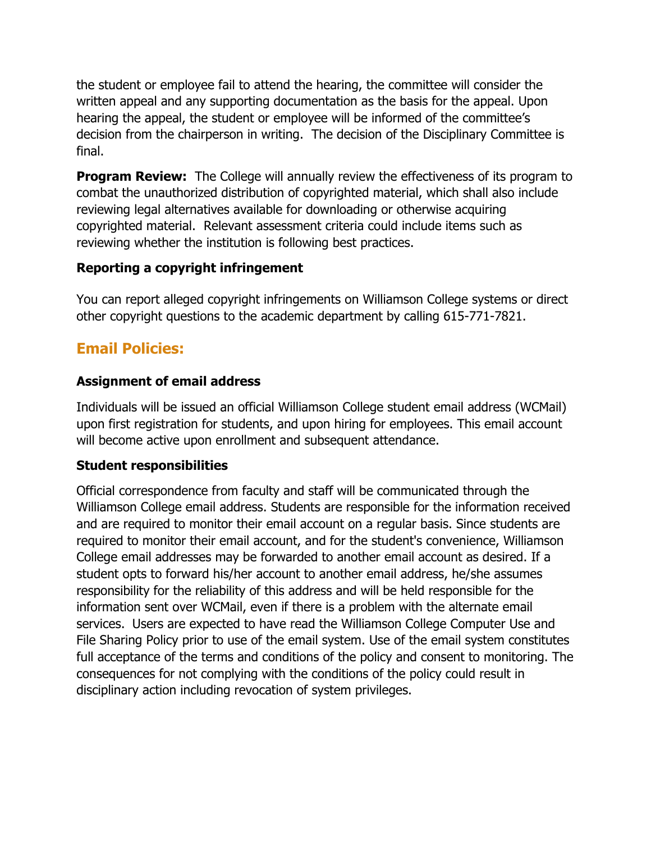the student or employee fail to attend the hearing, the committee will consider the written appeal and any supporting documentation as the basis for the appeal. Upon hearing the appeal, the student or employee will be informed of the committee's decision from the chairperson in writing. The decision of the Disciplinary Committee is final.

**Program Review:** The College will annually review the effectiveness of its program to combat the unauthorized distribution of copyrighted material, which shall also include reviewing legal alternatives available for downloading or otherwise acquiring copyrighted material. Relevant assessment criteria could include items such as reviewing whether the institution is following best practices.

#### **Reporting a copyright infringement**

You can report alleged copyright infringements on Williamson College systems or direct other copyright questions to the academic department by calling 615-771-7821.

# **Email Policies:**

#### **Assignment of email address**

Individuals will be issued an official Williamson College student email address (WCMail) upon first registration for students, and upon hiring for employees. This email account will become active upon enrollment and subsequent attendance.

#### **Student responsibilities**

Official correspondence from faculty and staff will be communicated through the Williamson College email address. Students are responsible for the information received and are required to monitor their email account on a regular basis. Since students are required to monitor their email account, and for the student's convenience, Williamson College email addresses may be forwarded to another email account as desired. If a student opts to forward his/her account to another email address, he/she assumes responsibility for the reliability of this address and will be held responsible for the information sent over WCMail, even if there is a problem with the alternate email services.Users are expected to have read the Williamson College Computer Use and File Sharing Policy prior to use of the email system. Use of the email system constitutes full acceptance of the terms and conditions of the policy and consent to monitoring. The consequences for not complying with the conditions of the policy could result in disciplinary action including revocation of system privileges.